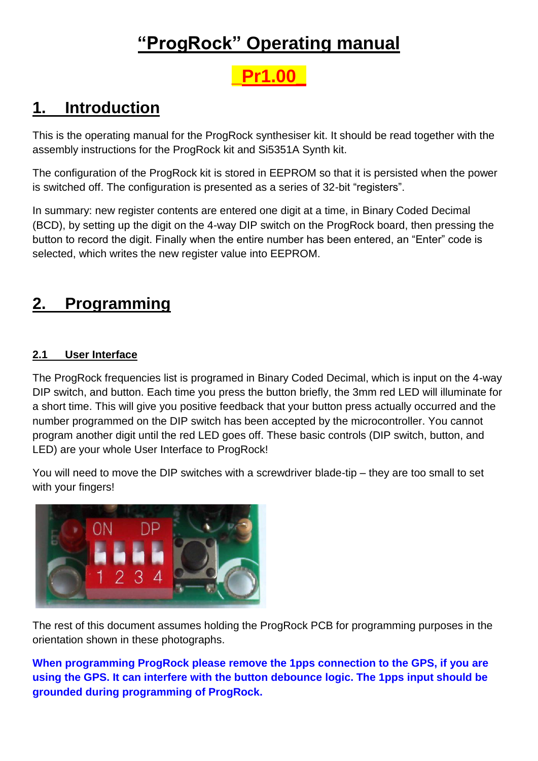## **"ProgRock" Operating manual**

# **\_Pr1.00\_**

### **1. Introduction**

This is the operating manual for the ProgRock synthesiser kit. It should be read together with the assembly instructions for the ProgRock kit and Si5351A Synth kit.

The configuration of the ProgRock kit is stored in EEPROM so that it is persisted when the power is switched off. The configuration is presented as a series of 32-bit "registers".

In summary: new register contents are entered one digit at a time, in Binary Coded Decimal (BCD), by setting up the digit on the 4-way DIP switch on the ProgRock board, then pressing the button to record the digit. Finally when the entire number has been entered, an "Enter" code is selected, which writes the new register value into EEPROM.

## **2. Programming**

#### **2.1 User Interface**

The ProgRock frequencies list is programed in Binary Coded Decimal, which is input on the 4-way DIP switch, and button. Each time you press the button briefly, the 3mm red LED will illuminate for a short time. This will give you positive feedback that your button press actually occurred and the number programmed on the DIP switch has been accepted by the microcontroller. You cannot program another digit until the red LED goes off. These basic controls (DIP switch, button, and LED) are your whole User Interface to ProgRock!

You will need to move the DIP switches with a screwdriver blade-tip – they are too small to set with your fingers!



The rest of this document assumes holding the ProgRock PCB for programming purposes in the orientation shown in these photographs.

**When programming ProgRock please remove the 1pps connection to the GPS, if you are using the GPS. It can interfere with the button debounce logic. The 1pps input should be grounded during programming of ProgRock.**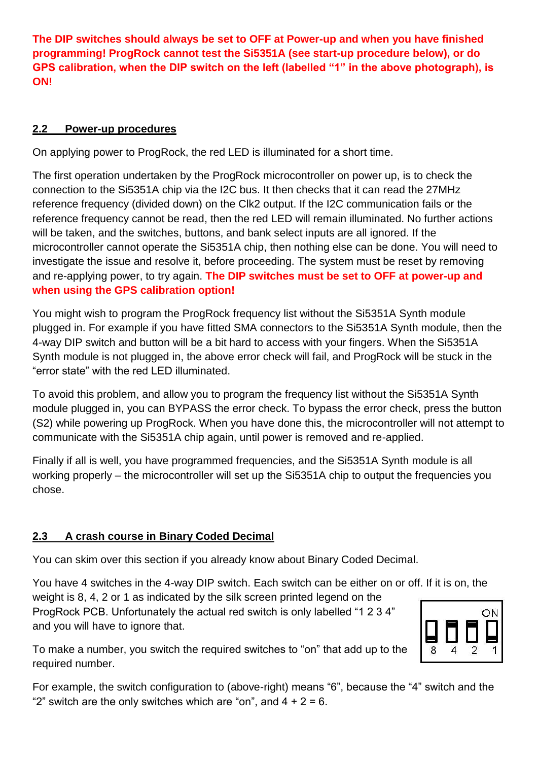**The DIP switches should always be set to OFF at Power-up and when you have finished programming! ProgRock cannot test the Si5351A (see start-up procedure below), or do GPS calibration, when the DIP switch on the left (labelled "1" in the above photograph), is ON!**

#### **2.2 Power-up procedures**

On applying power to ProgRock, the red LED is illuminated for a short time.

The first operation undertaken by the ProgRock microcontroller on power up, is to check the connection to the Si5351A chip via the I2C bus. It then checks that it can read the 27MHz reference frequency (divided down) on the Clk2 output. If the I2C communication fails or the reference frequency cannot be read, then the red LED will remain illuminated. No further actions will be taken, and the switches, buttons, and bank select inputs are all ignored. If the microcontroller cannot operate the Si5351A chip, then nothing else can be done. You will need to investigate the issue and resolve it, before proceeding. The system must be reset by removing and re-applying power, to try again. **The DIP switches must be set to OFF at power-up and when using the GPS calibration option!**

You might wish to program the ProgRock frequency list without the Si5351A Synth module plugged in. For example if you have fitted SMA connectors to the Si5351A Synth module, then the 4-way DIP switch and button will be a bit hard to access with your fingers. When the Si5351A Synth module is not plugged in, the above error check will fail, and ProgRock will be stuck in the "error state" with the red LED illuminated.

To avoid this problem, and allow you to program the frequency list without the Si5351A Synth module plugged in, you can BYPASS the error check. To bypass the error check, press the button (S2) while powering up ProgRock. When you have done this, the microcontroller will not attempt to communicate with the Si5351A chip again, until power is removed and re-applied.

Finally if all is well, you have programmed frequencies, and the Si5351A Synth module is all working properly – the microcontroller will set up the Si5351A chip to output the frequencies you chose.

#### **2.3 A crash course in Binary Coded Decimal**

You can skim over this section if you already know about Binary Coded Decimal.

You have 4 switches in the 4-way DIP switch. Each switch can be either on or off. If it is on, the

weight is 8, 4, 2 or 1 as indicated by the silk screen printed legend on the ProgRock PCB. Unfortunately the actual red switch is only labelled "1 2 3 4" and you will have to ignore that.



To make a number, you switch the required switches to "on" that add up to the required number.

For example, the switch configuration to (above-right) means "6", because the "4" switch and the "2" switch are the only switches which are "on", and  $4 + 2 = 6$ .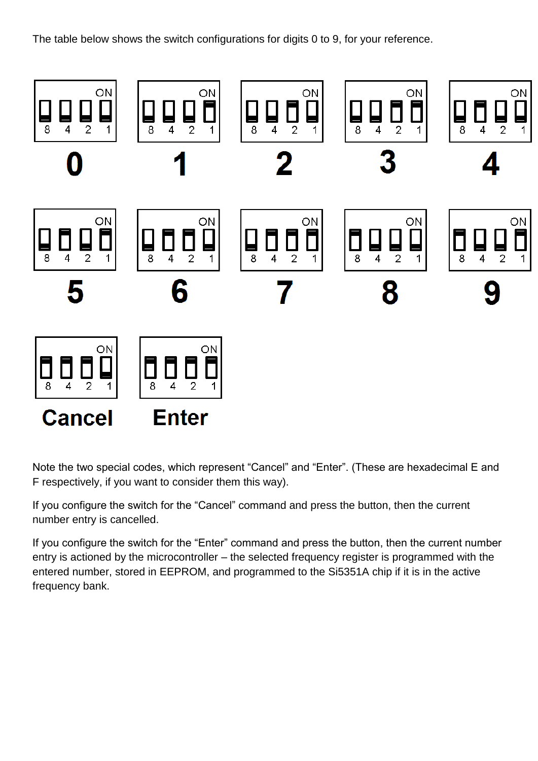The table below shows the switch configurations for digits 0 to 9, for your reference.



Note the two special codes, which represent "Cancel" and "Enter". (These are hexadecimal E and F respectively, if you want to consider them this way).

If you configure the switch for the "Cancel" command and press the button, then the current number entry is cancelled.

If you configure the switch for the "Enter" command and press the button, then the current number entry is actioned by the microcontroller – the selected frequency register is programmed with the entered number, stored in EEPROM, and programmed to the Si5351A chip if it is in the active frequency bank.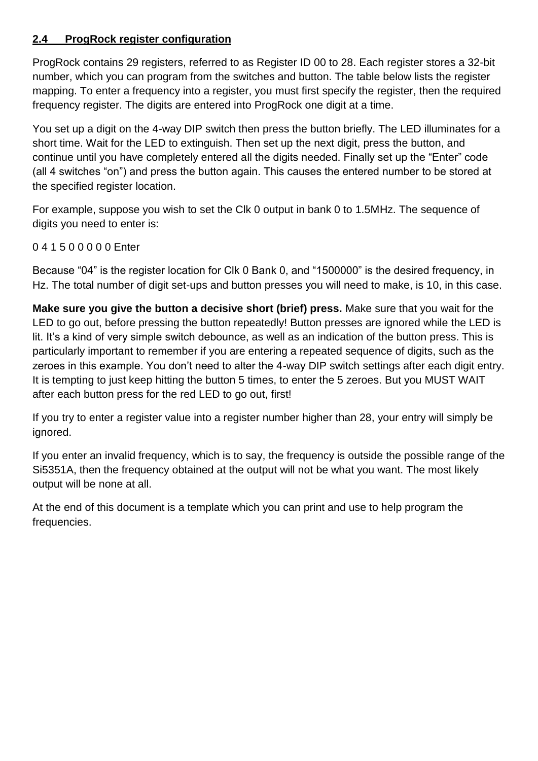#### **2.4 ProgRock register configuration**

ProgRock contains 29 registers, referred to as Register ID 00 to 28. Each register stores a 32-bit number, which you can program from the switches and button. The table below lists the register mapping. To enter a frequency into a register, you must first specify the register, then the required frequency register. The digits are entered into ProgRock one digit at a time.

You set up a digit on the 4-way DIP switch then press the button briefly. The LED illuminates for a short time. Wait for the LED to extinguish. Then set up the next digit, press the button, and continue until you have completely entered all the digits needed. Finally set up the "Enter" code (all 4 switches "on") and press the button again. This causes the entered number to be stored at the specified register location.

For example, suppose you wish to set the Clk 0 output in bank 0 to 1.5MHz. The sequence of digits you need to enter is:

#### 0 4 1 5 0 0 0 0 0 Enter

Because "04" is the register location for Clk 0 Bank 0, and "1500000" is the desired frequency, in Hz. The total number of digit set-ups and button presses you will need to make, is 10, in this case.

**Make sure you give the button a decisive short (brief) press.** Make sure that you wait for the LED to go out, before pressing the button repeatedly! Button presses are ignored while the LED is lit. It's a kind of very simple switch debounce, as well as an indication of the button press. This is particularly important to remember if you are entering a repeated sequence of digits, such as the zeroes in this example. You don't need to alter the 4-way DIP switch settings after each digit entry. It is tempting to just keep hitting the button 5 times, to enter the 5 zeroes. But you MUST WAIT after each button press for the red LED to go out, first!

If you try to enter a register value into a register number higher than 28, your entry will simply be ignored.

If you enter an invalid frequency, which is to say, the frequency is outside the possible range of the Si5351A, then the frequency obtained at the output will not be what you want. The most likely output will be none at all.

At the end of this document is a template which you can print and use to help program the frequencies.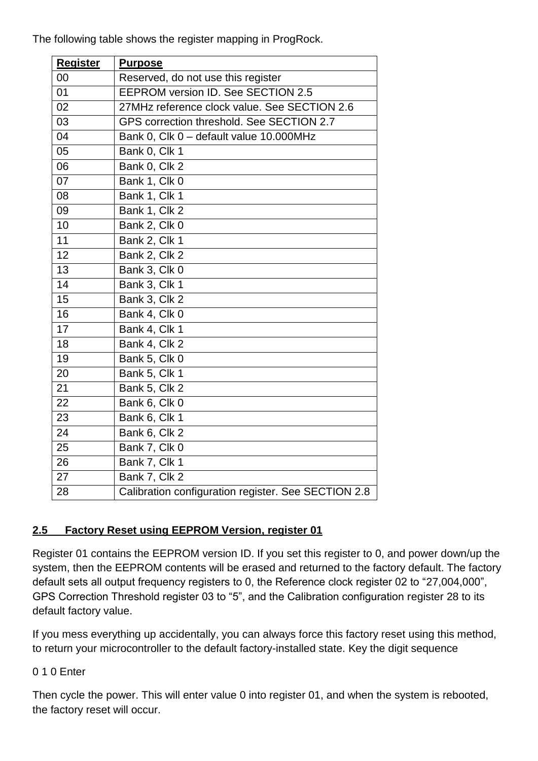The following table shows the register mapping in ProgRock.

| <b>Register</b> | <b>Purpose</b>                                      |
|-----------------|-----------------------------------------------------|
| 00              | Reserved, do not use this register                  |
| 01              | EEPROM version ID. See SECTION 2.5                  |
| 02              | 27MHz reference clock value. See SECTION 2.6        |
| 03              | GPS correction threshold. See SECTION 2.7           |
| 04              | Bank 0, Clk 0 - default value 10.000MHz             |
| 05              | Bank 0, Clk 1                                       |
| 06              | Bank 0, Clk 2                                       |
| 07              | Bank 1, Clk 0                                       |
| 08              | Bank 1, Clk 1                                       |
| 09              | Bank 1, Clk 2                                       |
| 10              | Bank 2, Clk 0                                       |
| 11              | Bank 2, Clk 1                                       |
| $\overline{12}$ | Bank 2, Clk 2                                       |
| 13              | Bank 3, Clk 0                                       |
| $\overline{14}$ | Bank 3, Clk 1                                       |
| 15              | Bank 3, Clk 2                                       |
| 16              | Bank 4, Clk 0                                       |
| 17              | Bank 4, Clk 1                                       |
| 18              | Bank 4, Clk 2                                       |
| 19              | Bank 5, Clk 0                                       |
| 20              | Bank 5, Clk 1                                       |
| 21              | Bank 5, Clk 2                                       |
| 22              | Bank 6, Clk 0                                       |
| 23              | Bank 6, Clk 1                                       |
| 24              | Bank 6, Clk 2                                       |
| 25              | Bank 7, Clk 0                                       |
| 26              | Bank 7, Clk 1                                       |
| $\overline{27}$ | Bank 7, Clk 2                                       |
| 28              | Calibration configuration register. See SECTION 2.8 |

#### **2.5 Factory Reset using EEPROM Version, register 01**

Register 01 contains the EEPROM version ID. If you set this register to 0, and power down/up the system, then the EEPROM contents will be erased and returned to the factory default. The factory default sets all output frequency registers to 0, the Reference clock register 02 to "27,004,000", GPS Correction Threshold register 03 to "5", and the Calibration configuration register 28 to its default factory value.

If you mess everything up accidentally, you can always force this factory reset using this method, to return your microcontroller to the default factory-installed state. Key the digit sequence

#### 0 1 0 Enter

Then cycle the power. This will enter value 0 into register 01, and when the system is rebooted, the factory reset will occur.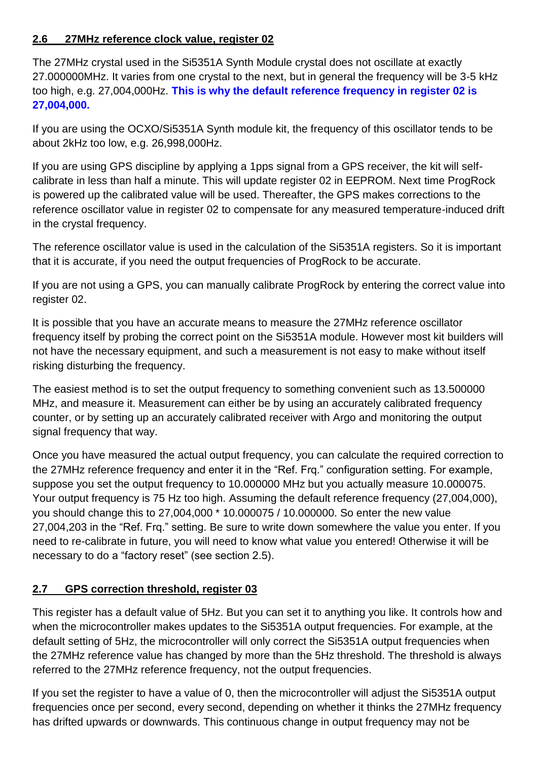#### **2.6 27MHz reference clock value, register 02**

The 27MHz crystal used in the Si5351A Synth Module crystal does not oscillate at exactly 27.000000MHz. It varies from one crystal to the next, but in general the frequency will be 3-5 kHz too high, e.g. 27,004,000Hz. **This is why the default reference frequency in register 02 is 27,004,000.**

If you are using the OCXO/Si5351A Synth module kit, the frequency of this oscillator tends to be about 2kHz too low, e.g. 26,998,000Hz.

If you are using GPS discipline by applying a 1pps signal from a GPS receiver, the kit will selfcalibrate in less than half a minute. This will update register 02 in EEPROM. Next time ProgRock is powered up the calibrated value will be used. Thereafter, the GPS makes corrections to the reference oscillator value in register 02 to compensate for any measured temperature-induced drift in the crystal frequency.

The reference oscillator value is used in the calculation of the Si5351A registers. So it is important that it is accurate, if you need the output frequencies of ProgRock to be accurate.

If you are not using a GPS, you can manually calibrate ProgRock by entering the correct value into register 02.

It is possible that you have an accurate means to measure the 27MHz reference oscillator frequency itself by probing the correct point on the Si5351A module. However most kit builders will not have the necessary equipment, and such a measurement is not easy to make without itself risking disturbing the frequency.

The easiest method is to set the output frequency to something convenient such as 13.500000 MHz, and measure it. Measurement can either be by using an accurately calibrated frequency counter, or by setting up an accurately calibrated receiver with Argo and monitoring the output signal frequency that way.

Once you have measured the actual output frequency, you can calculate the required correction to the 27MHz reference frequency and enter it in the "Ref. Frq." configuration setting. For example, suppose you set the output frequency to 10.000000 MHz but you actually measure 10.000075. Your output frequency is 75 Hz too high. Assuming the default reference frequency (27,004,000), you should change this to 27,004,000 \* 10.000075 / 10.000000. So enter the new value 27,004,203 in the "Ref. Frq." setting. Be sure to write down somewhere the value you enter. If you need to re-calibrate in future, you will need to know what value you entered! Otherwise it will be necessary to do a "factory reset" (see section 2.5).

#### **2.7 GPS correction threshold, register 03**

This register has a default value of 5Hz. But you can set it to anything you like. It controls how and when the microcontroller makes updates to the Si5351A output frequencies. For example, at the default setting of 5Hz, the microcontroller will only correct the Si5351A output frequencies when the 27MHz reference value has changed by more than the 5Hz threshold. The threshold is always referred to the 27MHz reference frequency, not the output frequencies.

If you set the register to have a value of 0, then the microcontroller will adjust the Si5351A output frequencies once per second, every second, depending on whether it thinks the 27MHz frequency has drifted upwards or downwards. This continuous change in output frequency may not be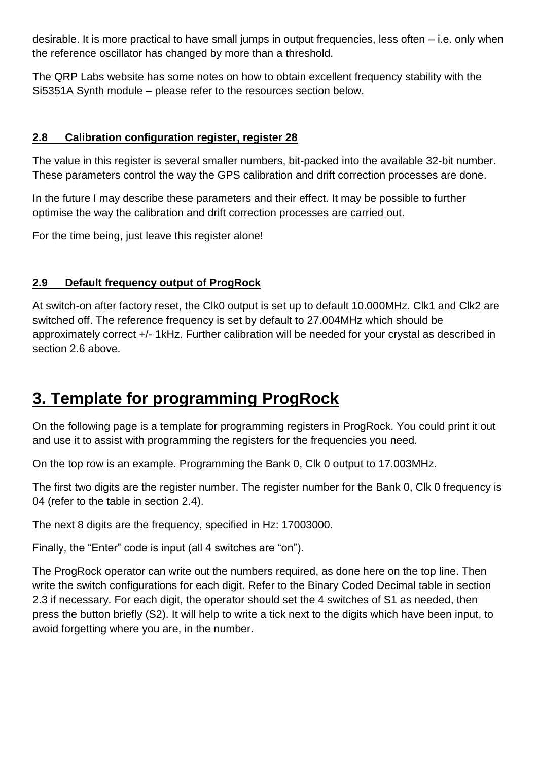desirable. It is more practical to have small jumps in output frequencies, less often – i.e. only when the reference oscillator has changed by more than a threshold.

The QRP Labs website has some notes on how to obtain excellent frequency stability with the Si5351A Synth module – please refer to the resources section below.

#### **2.8 Calibration configuration register, register 28**

The value in this register is several smaller numbers, bit-packed into the available 32-bit number. These parameters control the way the GPS calibration and drift correction processes are done.

In the future I may describe these parameters and their effect. It may be possible to further optimise the way the calibration and drift correction processes are carried out.

For the time being, just leave this register alone!

#### **2.9 Default frequency output of ProgRock**

At switch-on after factory reset, the Clk0 output is set up to default 10.000MHz. Clk1 and Clk2 are switched off. The reference frequency is set by default to 27.004MHz which should be approximately correct +/- 1kHz. Further calibration will be needed for your crystal as described in section 2.6 above.

### **3. Template for programming ProgRock**

On the following page is a template for programming registers in ProgRock. You could print it out and use it to assist with programming the registers for the frequencies you need.

On the top row is an example. Programming the Bank 0, Clk 0 output to 17.003MHz.

The first two digits are the register number. The register number for the Bank 0, Clk 0 frequency is 04 (refer to the table in section 2.4).

The next 8 digits are the frequency, specified in Hz: 17003000.

Finally, the "Enter" code is input (all 4 switches are "on").

The ProgRock operator can write out the numbers required, as done here on the top line. Then write the switch configurations for each digit. Refer to the Binary Coded Decimal table in section 2.3 if necessary. For each digit, the operator should set the 4 switches of S1 as needed, then press the button briefly (S2). It will help to write a tick next to the digits which have been input, to avoid forgetting where you are, in the number.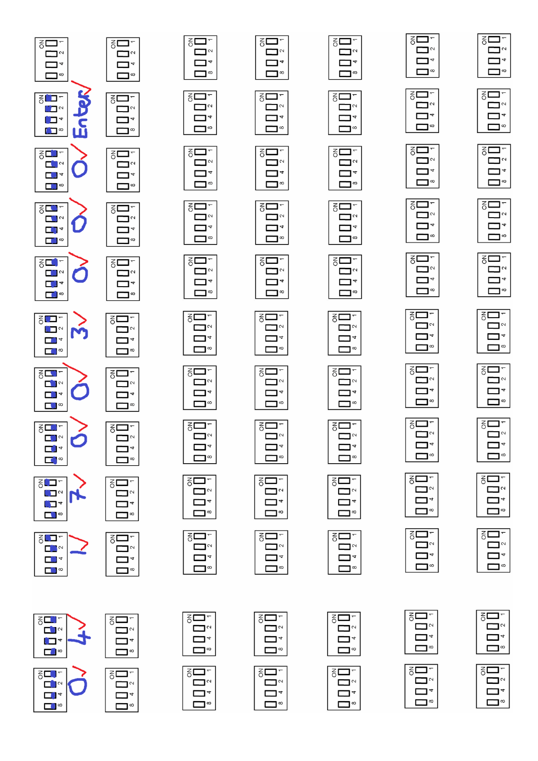

∍י

 $\mathbf{\mathsf{I}}^{\infty}$ 

פ⊏

⊐∾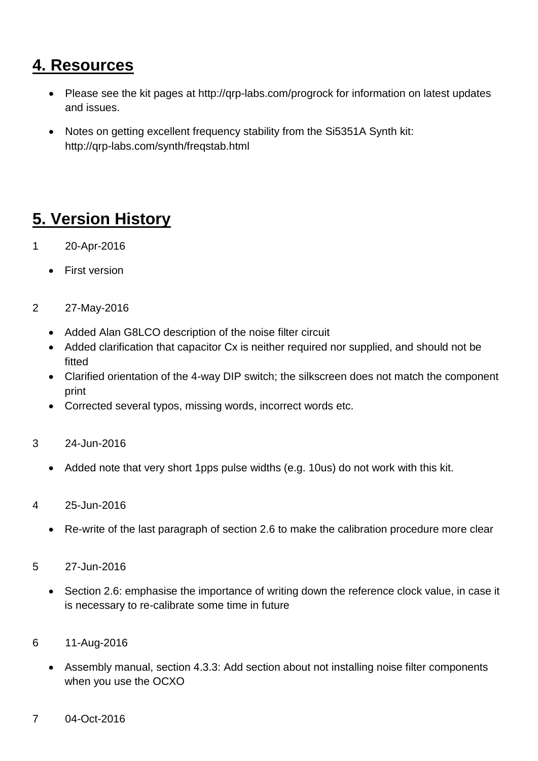### **4. Resources**

- Please see the kit pages at http://qrp-labs.com/progrock for information on latest updates and issues.
- Notes on getting excellent frequency stability from the Si5351A Synth kit: http://qrp-labs.com/synth/freqstab.html

### **5. Version History**

- 1 20-Apr-2016
	- First version
- 2 27-May-2016
	- Added Alan G8LCO description of the noise filter circuit
	- Added clarification that capacitor Cx is neither required nor supplied, and should not be fitted
	- Clarified orientation of the 4-way DIP switch; the silkscreen does not match the component print
	- Corrected several typos, missing words, incorrect words etc.
- 3 24-Jun-2016
	- Added note that very short 1pps pulse widths (e.g. 10us) do not work with this kit.
- 4 25-Jun-2016
	- Re-write of the last paragraph of section 2.6 to make the calibration procedure more clear
- 5 27-Jun-2016
	- Section 2.6: emphasise the importance of writing down the reference clock value, in case it is necessary to re-calibrate some time in future
- 6 11-Aug-2016
	- Assembly manual, section 4.3.3: Add section about not installing noise filter components when you use the OCXO
- 7 04-Oct-2016